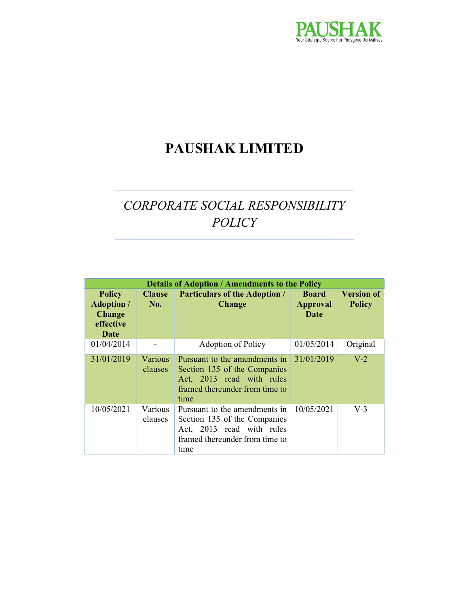

# PAUSHAK LIMITED

# CORPORATE SOCIAL RESPONSIBILITY POLICY

| <b>Details of Adoption / Amendments to the Policy</b>                    |                           |                                                                                                                                                   |                                         |                                    |
|--------------------------------------------------------------------------|---------------------------|---------------------------------------------------------------------------------------------------------------------------------------------------|-----------------------------------------|------------------------------------|
| <b>Policy</b><br><b>Adoption</b> /<br><b>Change</b><br>effective<br>Date | <b>Clause</b><br>No.      | <b>Particulars of the Adoption /</b><br><b>Change</b>                                                                                             | <b>Board</b><br><b>Approval</b><br>Date | <b>Version of</b><br><b>Policy</b> |
| 01/04/2014                                                               |                           | <b>Adoption of Policy</b>                                                                                                                         | 01/05/2014                              | Original                           |
| 31/01/2019                                                               | Various<br>clauses        | Pursuant to the amendments in $31/01/2019$<br>Section 135 of the Companies<br>Act, 2013 read with rules<br>framed thereunder from time to<br>time |                                         | $V-2$                              |
| 10/05/2021                                                               | <b>Various</b><br>clauses | Pursuant to the amendments in<br>Section 135 of the Companies<br>Act, 2013 read with rules<br>framed thereunder from time to<br>time              | 10/05/2021                              | $V-3$                              |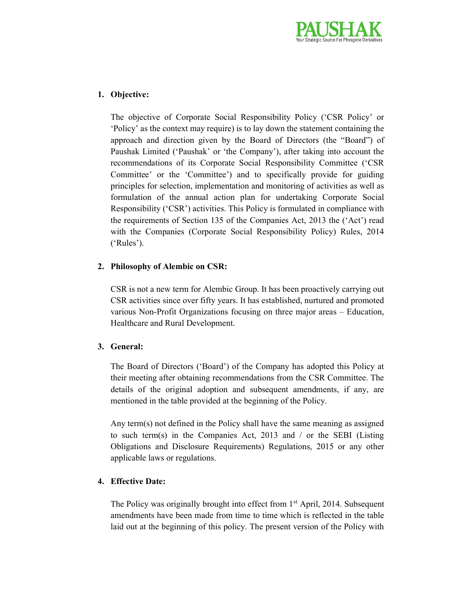

## 1. Objective:

The objective of Corporate Social Responsibility Policy ('CSR Policy' or 'Policy' as the context may require) is to lay down the statement containing the approach and direction given by the Board of Directors (the "Board") of Paushak Limited ('Paushak' or 'the Company'), after taking into account the recommendations of its Corporate Social Responsibility Committee ('CSR Committee' or the 'Committee') and to specifically provide for guiding principles for selection, implementation and monitoring of activities as well as formulation of the annual action plan for undertaking Corporate Social Responsibility ('CSR') activities. This Policy is formulated in compliance with the requirements of Section 135 of the Companies Act, 2013 the ('Act') read with the Companies (Corporate Social Responsibility Policy) Rules, 2014 ('Rules').

## 2. Philosophy of Alembic on CSR:

CSR is not a new term for Alembic Group. It has been proactively carrying out CSR activities since over fifty years. It has established, nurtured and promoted various Non-Profit Organizations focusing on three major areas – Education, Healthcare and Rural Development.

### 3. General:

The Board of Directors ('Board') of the Company has adopted this Policy at their meeting after obtaining recommendations from the CSR Committee. The details of the original adoption and subsequent amendments, if any, are mentioned in the table provided at the beginning of the Policy.

Any term(s) not defined in the Policy shall have the same meaning as assigned to such term(s) in the Companies Act, 2013 and / or the SEBI (Listing Obligations and Disclosure Requirements) Regulations, 2015 or any other applicable laws or regulations.

## 4. Effective Date:

The Policy was originally brought into effect from  $1<sup>st</sup>$  April, 2014. Subsequent amendments have been made from time to time which is reflected in the table laid out at the beginning of this policy. The present version of the Policy with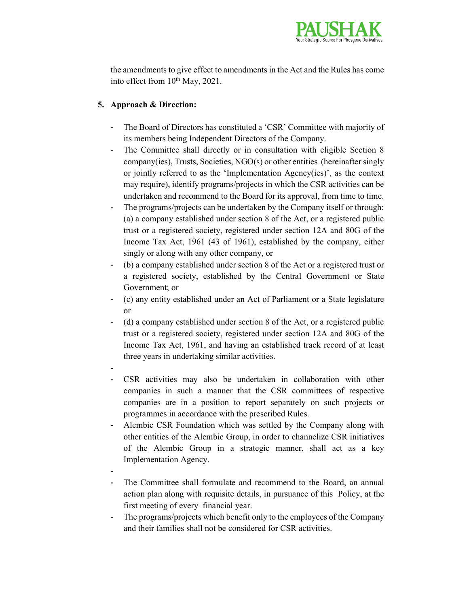

the amendments to give effect to amendments in the Act and the Rules has come into effect from 10<sup>th</sup> May, 2021.

## 5. Approach & Direction:

- The Board of Directors has constituted a 'CSR' Committee with majority of its members being Independent Directors of the Company.
- The Committee shall directly or in consultation with eligible Section 8 company(ies), Trusts, Societies, NGO(s) or other entities (hereinafter singly or jointly referred to as the 'Implementation Agency(ies)', as the context may require), identify programs/projects in which the CSR activities can be undertaken and recommend to the Board for its approval, from time to time.
- The programs/projects can be undertaken by the Company itself or through: (a) a company established under section 8 of the Act, or a registered public trust or a registered society, registered under section 12A and 80G of the Income Tax Act, 1961 (43 of 1961), established by the company, either singly or along with any other company, or
- (b) a company established under section 8 of the Act or a registered trust or a registered society, established by the Central Government or State Government; or
- (c) any entity established under an Act of Parliament or a State legislature or
- (d) a company established under section 8 of the Act, or a registered public trust or a registered society, registered under section 12A and 80G of the Income Tax Act, 1961, and having an established track record of at least three years in undertaking similar activities.
- -
- CSR activities may also be undertaken in collaboration with other companies in such a manner that the CSR committees of respective companies are in a position to report separately on such projects or programmes in accordance with the prescribed Rules.
- Alembic CSR Foundation which was settled by the Company along with other entities of the Alembic Group, in order to channelize CSR initiatives of the Alembic Group in a strategic manner, shall act as a key Implementation Agency.
- -
- The Committee shall formulate and recommend to the Board, an annual action plan along with requisite details, in pursuance of this Policy, at the first meeting of every financial year.
- The programs/projects which benefit only to the employees of the Company and their families shall not be considered for CSR activities.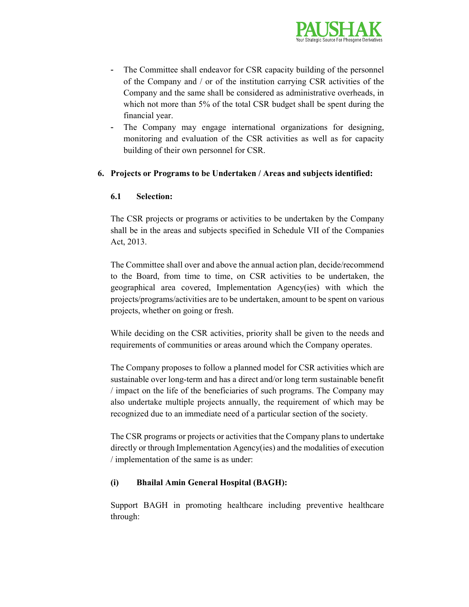

- The Committee shall endeavor for CSR capacity building of the personnel of the Company and / or of the institution carrying CSR activities of the Company and the same shall be considered as administrative overheads, in which not more than 5% of the total CSR budget shall be spent during the financial year.
- The Company may engage international organizations for designing, monitoring and evaluation of the CSR activities as well as for capacity building of their own personnel for CSR.

### 6. Projects or Programs to be Undertaken / Areas and subjects identified:

### 6.1 Selection:

The CSR projects or programs or activities to be undertaken by the Company shall be in the areas and subjects specified in Schedule VII of the Companies Act, 2013.

The Committee shall over and above the annual action plan, decide/recommend to the Board, from time to time, on CSR activities to be undertaken, the geographical area covered, Implementation Agency(ies) with which the projects/programs/activities are to be undertaken, amount to be spent on various projects, whether on going or fresh.

While deciding on the CSR activities, priority shall be given to the needs and requirements of communities or areas around which the Company operates.

The Company proposes to follow a planned model for CSR activities which are sustainable over long-term and has a direct and/or long term sustainable benefit / impact on the life of the beneficiaries of such programs. The Company may also undertake multiple projects annually, the requirement of which may be recognized due to an immediate need of a particular section of the society.

The CSR programs or projects or activities that the Company plans to undertake directly or through Implementation Agency(ies) and the modalities of execution / implementation of the same is as under:

### (i) Bhailal Amin General Hospital (BAGH):

Support BAGH in promoting healthcare including preventive healthcare through: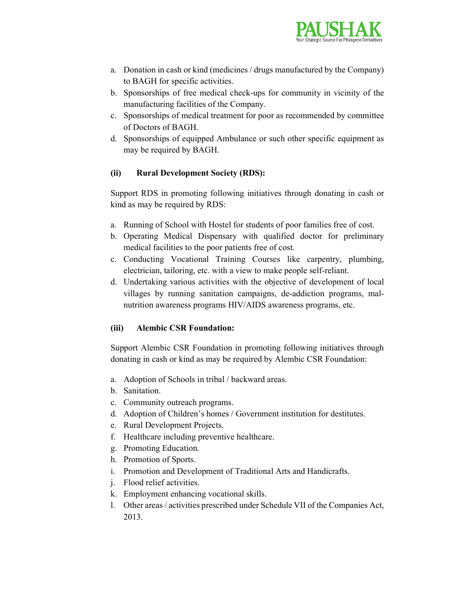

- a. Donation in cash or kind (medicines / drugs manufactured by the Company) to BAGH for specific activities.
- b. Sponsorships of free medical check-ups for community in vicinity of the manufacturing facilities of the Company.
- c. Sponsorships of medical treatment for poor as recommended by committee of Doctors of BAGH.
- d. Sponsorships of equipped Ambulance or such other specific equipment as may be required by BAGH.

## (ii) Rural Development Society (RDS):

Support RDS in promoting following initiatives through donating in cash or kind as may be required by RDS:

- a. Running of School with Hostel for students of poor families free of cost.
- b. Operating Medical Dispensary with qualified doctor for preliminary medical facilities to the poor patients free of cost.
- c. Conducting Vocational Training Courses like carpentry, plumbing, electrician, tailoring, etc. with a view to make people self-reliant.
- d. Undertaking various activities with the objective of development of local villages by running sanitation campaigns, de-addiction programs, malnutrition awareness programs HIV/AIDS awareness programs, etc.

### (iii) Alembic CSR Foundation:

Support Alembic CSR Foundation in promoting following initiatives through donating in cash or kind as may be required by Alembic CSR Foundation:

- a. Adoption of Schools in tribal / backward areas.
- b. Sanitation.
- c. Community outreach programs.
- d. Adoption of Children's homes / Government institution for destitutes.
- e. Rural Development Projects.
- f. Healthcare including preventive healthcare.
- g. Promoting Education.
- h. Promotion of Sports.
- i. Promotion and Development of Traditional Arts and Handicrafts.
- j. Flood relief activities.
- k. Employment enhancing vocational skills.
- l. Other areas / activities prescribed under Schedule VII of the Companies Act, 2013.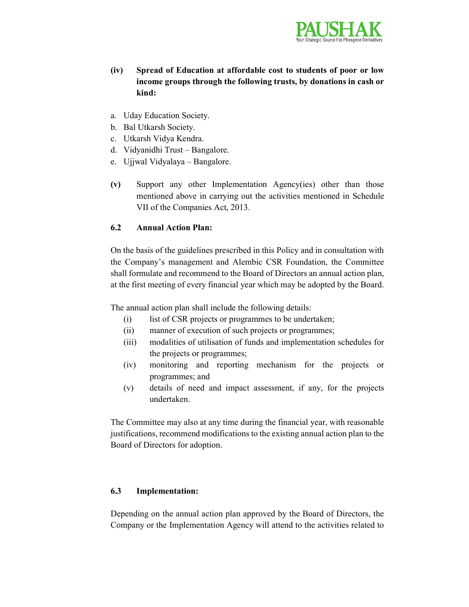

- (iv) Spread of Education at affordable cost to students of poor or low income groups through the following trusts, by donations in cash or kind:
- a. Uday Education Society.
- b. Bal Utkarsh Society.
- c. Utkarsh Vidya Kendra.
- d. Vidyanidhi Trust Bangalore.
- e. Ujjwal Vidyalaya Bangalore.
- (v) Support any other Implementation Agency(ies) other than those mentioned above in carrying out the activities mentioned in Schedule VII of the Companies Act, 2013.

### 6.2 Annual Action Plan:

On the basis of the guidelines prescribed in this Policy and in consultation with the Company's management and Alembic CSR Foundation, the Committee shall formulate and recommend to the Board of Directors an annual action plan, at the first meeting of every financial year which may be adopted by the Board.

The annual action plan shall include the following details:

- (i) list of CSR projects or programmes to be undertaken;
- (ii) manner of execution of such projects or programmes;
- (iii) modalities of utilisation of funds and implementation schedules for the projects or programmes;
- (iv) monitoring and reporting mechanism for the projects or programmes; and
- (v) details of need and impact assessment, if any, for the projects undertaken.

The Committee may also at any time during the financial year, with reasonable justifications, recommend modifications to the existing annual action plan to the Board of Directors for adoption.

### 6.3 Implementation:

Depending on the annual action plan approved by the Board of Directors, the Company or the Implementation Agency will attend to the activities related to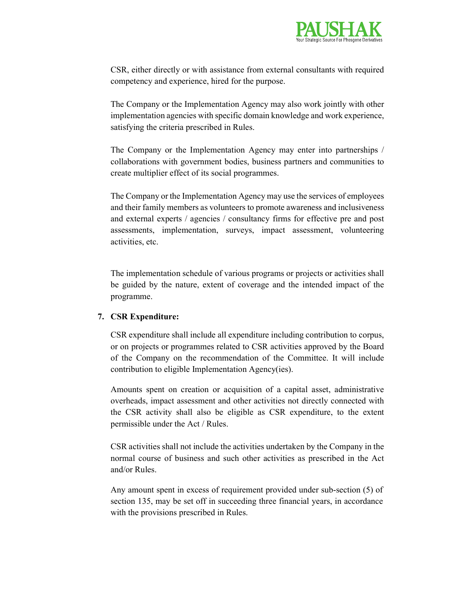

CSR, either directly or with assistance from external consultants with required competency and experience, hired for the purpose.

The Company or the Implementation Agency may also work jointly with other implementation agencies with specific domain knowledge and work experience, satisfying the criteria prescribed in Rules.

The Company or the Implementation Agency may enter into partnerships / collaborations with government bodies, business partners and communities to create multiplier effect of its social programmes.

The Company or the Implementation Agency may use the services of employees and their family members as volunteers to promote awareness and inclusiveness and external experts / agencies / consultancy firms for effective pre and post assessments, implementation, surveys, impact assessment, volunteering activities, etc.

The implementation schedule of various programs or projects or activities shall be guided by the nature, extent of coverage and the intended impact of the programme.

### 7. CSR Expenditure:

CSR expenditure shall include all expenditure including contribution to corpus, or on projects or programmes related to CSR activities approved by the Board of the Company on the recommendation of the Committee. It will include contribution to eligible Implementation Agency(ies).

Amounts spent on creation or acquisition of a capital asset, administrative overheads, impact assessment and other activities not directly connected with the CSR activity shall also be eligible as CSR expenditure, to the extent permissible under the Act / Rules.

CSR activities shall not include the activities undertaken by the Company in the normal course of business and such other activities as prescribed in the Act and/or Rules.

Any amount spent in excess of requirement provided under sub-section (5) of section 135, may be set off in succeeding three financial years, in accordance with the provisions prescribed in Rules.